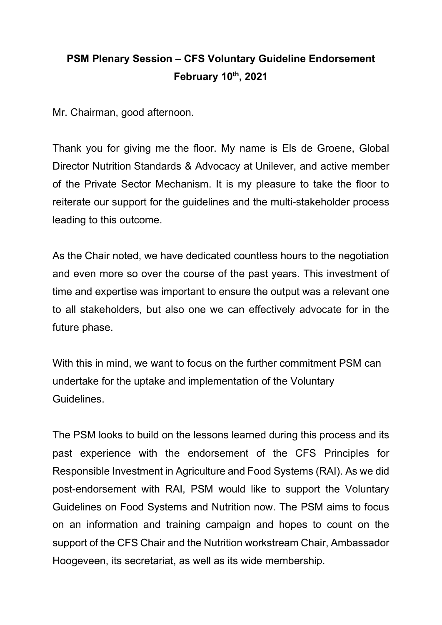## **PSM Plenary Session – CFS Voluntary Guideline Endorsement February 10th, 2021**

Mr. Chairman, good afternoon.

Thank you for giving me the floor. My name is Els de Groene, Global Director Nutrition Standards & Advocacy at Unilever, and active member of the Private Sector Mechanism. It is my pleasure to take the floor to reiterate our support for the guidelines and the multi-stakeholder process leading to this outcome.

As the Chair noted, we have dedicated countless hours to the negotiation and even more so over the course of the past years. This investment of time and expertise was important to ensure the output was a relevant one to all stakeholders, but also one we can effectively advocate for in the future phase.

With this in mind, we want to focus on the further commitment PSM can undertake for the uptake and implementation of the Voluntary Guidelines.

The PSM looks to build on the lessons learned during this process and its past experience with the endorsement of the CFS Principles for Responsible Investment in Agriculture and Food Systems (RAI). As we did post-endorsement with RAI, PSM would like to support the Voluntary Guidelines on Food Systems and Nutrition now. The PSM aims to focus on an information and training campaign and hopes to count on the support of the CFS Chair and the Nutrition workstream Chair, Ambassador Hoogeveen, its secretariat, as well as its wide membership.